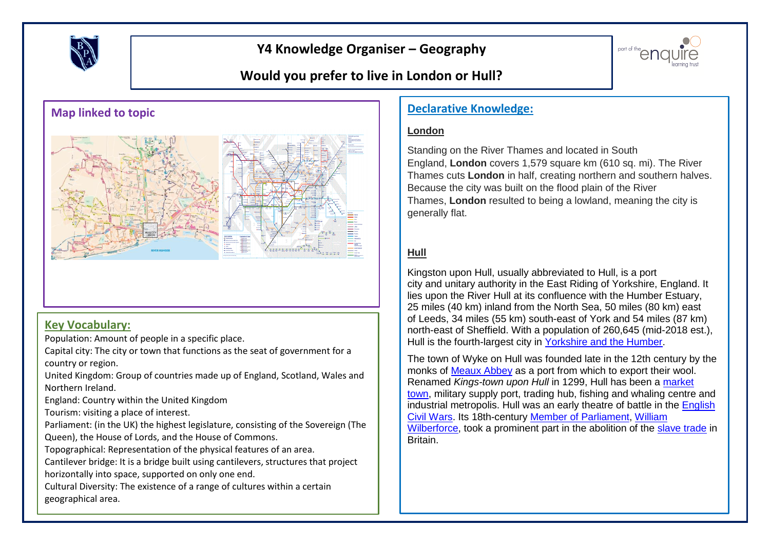

# **Y4 Knowledge Organiser – Geography**



# **Would you prefer to live in London or Hull?**



### **Key Vocabulary:**

Population: Amount of people in a specific place.

Capital city: The city or town that functions as the seat of government for a country or region.

United Kingdom: Group of countries made up of England, Scotland, Wales and Northern Ireland.

England: Country within the United Kingdom

Tourism: visiting a place of interest.

Parliament: (in the UK) the highest legislature, consisting of the Sovereign (The Queen), the House of Lords, and the House of Commons.

Topographical: Representation of the physical features of an area.

Cantilever bridge: It is a bridge built using cantilevers, structures that project horizontally into space, supported on only one end.

Cultural Diversity: The existence of a range of cultures within a certain geographical area.

#### **London**

Standing on the River Thames and located in South England, **London** covers 1,579 square km (610 sq. mi). The River Thames cuts **London** in half, creating northern and southern halves. Because the city was built on the flood plain of the River Thames, **London** resulted to being a lowland, meaning the city is generally flat.

### **Hull**

Kingston upon Hull, usually abbreviated to Hull, is a port city and unitary authority in the East Riding of Yorkshire, England. It lies upon the River Hull at its confluence with the Humber Estuary, 25 miles (40 km) inland from the North Sea, 50 miles (80 km) east of Leeds, 34 miles (55 km) south-east of York and 54 miles (87 km) north-east of Sheffield. With a population of 260,645 (mid-2018 est.), Hull is the fourth-largest city in [Yorkshire and the Humber.](https://en.wikipedia.org/wiki/Yorkshire_and_the_Humber)

The town of Wyke on Hull was founded late in the 12th century by the monks of [Meaux Abbey](https://en.wikipedia.org/wiki/Meaux_Abbey) as a port from which to export their wool. Renamed *Kings-town upon Hull* in 1299, Hull has been a [market](https://en.wikipedia.org/wiki/Market_town)  [town,](https://en.wikipedia.org/wiki/Market_town) military supply port, trading hub, fishing and whaling centre and industrial metropolis. Hull was an early theatre of battle in the [English](https://en.wikipedia.org/wiki/First_English_Civil_War)  [Civil Wars.](https://en.wikipedia.org/wiki/First_English_Civil_War) Its 18th-century [Member of Parliament,](https://en.wikipedia.org/wiki/Member_of_Parliament) [William](https://en.wikipedia.org/wiki/William_Wilberforce)  [Wilberforce,](https://en.wikipedia.org/wiki/William_Wilberforce) took a prominent part in the abolition of the [slave trade](https://en.wikipedia.org/wiki/Slave_trade) in Britain.